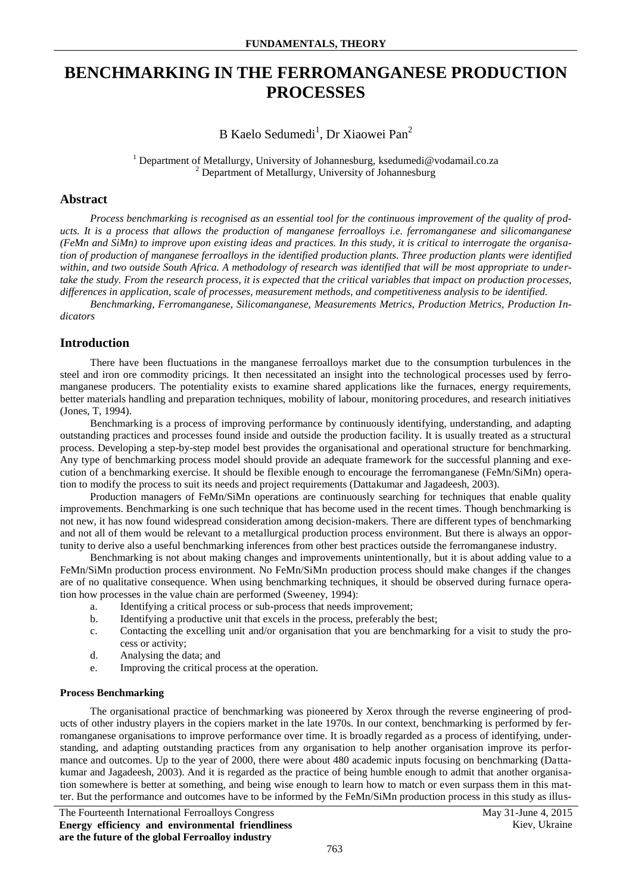# **BENCHMARKING IN THE FERROMANGANESE PRODUCTION PROCESSES**

## B Kaelo Sedumedi<sup>1</sup>, Dr Xiaowei Pan<sup>2</sup>

<sup>1</sup> Department of Metallurgy, University of Johannesburg, ksedumedi@vodamail.co.za <sup>2</sup> Department of Metallurgy, University of Johannesburg

## **Abstract**

*Process benchmarking is recognised as an essential tool for the continuous improvement of the quality of products. It is a process that allows the production of manganese ferroalloys i.e. ferromanganese and silicomanganese (FeMn and SiMn) to improve upon existing ideas and practices. In this study, it is critical to interrogate the organisation of production of manganese ferroalloys in the identified production plants. Three production plants were identified within, and two outside South Africa. A methodology of research was identified that will be most appropriate to undertake the study. From the research process, it is expected that the critical variables that impact on production processes, differences in application, scale of processes, measurement methods, and competitiveness analysis to be identified.* 

*Benchmarking, Ferromanganese, Silicomanganese, Measurements Metrics, Production Metrics, Production Indicators*

## **Introduction**

There have been fluctuations in the manganese ferroalloys market due to the consumption turbulences in the steel and iron ore commodity pricings. It then necessitated an insight into the technological processes used by ferromanganese producers. The potentiality exists to examine shared applications like the furnaces, energy requirements, better materials handling and preparation techniques, mobility of labour, monitoring procedures, and research initiatives (Jones, T, 1994).

Benchmarking is a process of improving performance by continuously identifying, understanding, and adapting outstanding practices and processes found inside and outside the production facility. It is usually treated as a structural process. Developing a step-by-step model best provides the organisational and operational structure for benchmarking. Any type of benchmarking process model should provide an adequate framework for the successful planning and execution of a benchmarking exercise. It should be flexible enough to encourage the ferromanganese (FeMn/SiMn) operation to modify the process to suit its needs and project requirements (Dattakumar and Jagadeesh, 2003).

Production managers of FeMn/SiMn operations are continuously searching for techniques that enable quality improvements. Benchmarking is one such technique that has become used in the recent times. Though benchmarking is not new, it has now found widespread consideration among decision-makers. There are different types of benchmarking and not all of them would be relevant to a metallurgical production process environment. But there is always an opportunity to derive also a useful benchmarking inferences from other best practices outside the ferromanganese industry.

Benchmarking is not about making changes and improvements unintentionally, but it is about adding value to a FeMn/SiMn production process environment. No FeMn/SiMn production process should make changes if the changes are of no qualitative consequence. When using benchmarking techniques, it should be observed during furnace operation how processes in the value chain are performed (Sweeney, 1994):

- a. Identifying a critical process or sub-process that needs improvement;
- b. Identifying a productive unit that excels in the process, preferably the best;
- c. Contacting the excelling unit and/or organisation that you are benchmarking for a visit to study the process or activity;
- d. Analysing the data; and
- e. Improving the critical process at the operation.

#### **Process Benchmarking**

The organisational practice of benchmarking was pioneered by Xerox through the reverse engineering of products of other industry players in the copiers market in the late 1970s. In our context, benchmarking is performed by ferromanganese organisations to improve performance over time. It is broadly regarded as a process of identifying, understanding, and adapting outstanding practices from any organisation to help another organisation improve its performance and outcomes. Up to the year of 2000, there were about 480 academic inputs focusing on benchmarking (Dattakumar and Jagadeesh, 2003). And it is regarded as the practice of being humble enough to admit that another organisation somewhere is better at something, and being wise enough to learn how to match or even surpass them in this matter. But the performance and outcomes have to be informed by the FeMn/SiMn production process in this study as illus-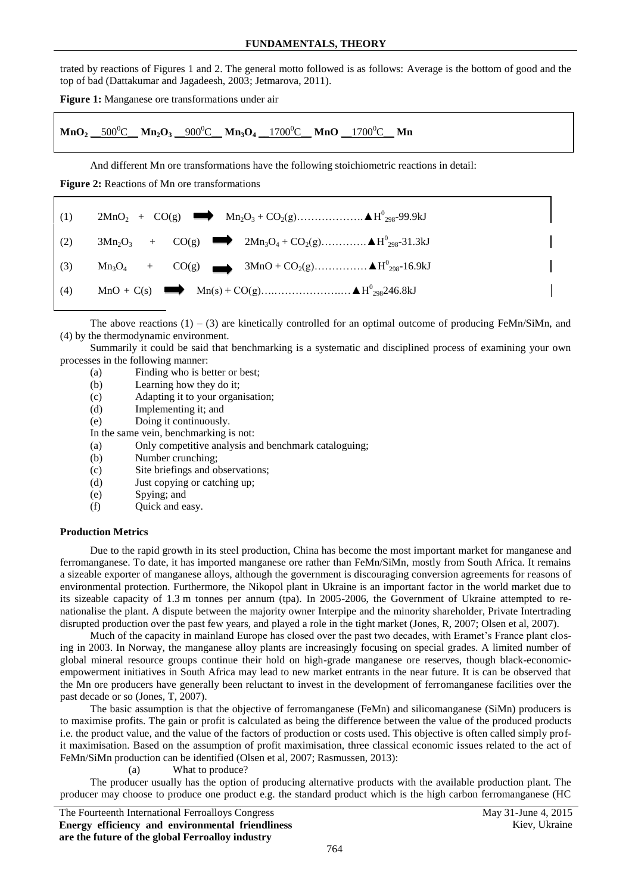trated by reactions of Figures 1 and 2. The general motto followed is as follows: Average is the bottom of good and the top of bad (Dattakumar and Jagadeesh, 2003; Jetmarova, 2011).

**Figure 1:** Manganese ore transformations under air

$$
MnO_2 \_500^0C \_ Mn_2O_3 \_900^0C \_ Mn_3O_4 \_1700^0C \_ MnO \_1700^0C \_ Mn
$$

And different Mn ore transformations have the following stoichiometric reactions in detail:

**Figure 2:** Reactions of Mn ore transformations

| (1) |  |
|-----|--|
| (2) |  |
| (3) |  |
| (4) |  |

The above reactions  $(1) - (3)$  are kinetically controlled for an optimal outcome of producing FeMn/SiMn, and (4) by the thermodynamic environment.

Summarily it could be said that benchmarking is a systematic and disciplined process of examining your own processes in the following manner:

- (a) Finding who is better or best;
- (b) Learning how they do it;
- (c) Adapting it to your organisation;
- (d) Implementing it; and
- (e) Doing it continuously.

In the same vein, benchmarking is not:

- (a) Only competitive analysis and benchmark cataloguing;
- (b) Number crunching;
- (c) Site briefings and observations;
- (d) Just copying or catching up;
- (e) Spying; and
- (f) Quick and easy.

## **Production Metrics**

Due to the rapid growth in its steel production, China has become the most important market for manganese and ferromanganese. To date, it has imported manganese ore rather than FeMn/SiMn, mostly from South Africa. It remains a sizeable exporter of manganese alloys, although the government is discouraging conversion agreements for reasons of environmental protection. Furthermore, the Nikopol plant in Ukraine is an important factor in the world market due to its sizeable capacity of 1.3 m tonnes per annum (tpa). In 2005-2006, the Government of Ukraine attempted to renationalise the plant. A dispute between the majority owner Interpipe and the minority shareholder, Private Intertrading disrupted production over the past few years, and played a role in the tight market (Jones, R, 2007; Olsen et al, 2007).

Much of the capacity in mainland Europe has closed over the past two decades, with Eramet's France plant closing in 2003. In Norway, the manganese alloy plants are increasingly focusing on special grades. A limited number of global mineral resource groups continue their hold on high-grade manganese ore reserves, though black-economicempowerment initiatives in South Africa may lead to new market entrants in the near future. It is can be observed that the Mn ore producers have generally been reluctant to invest in the development of ferromanganese facilities over the past decade or so (Jones, T, 2007).

The basic assumption is that the objective of ferromanganese (FeMn) and silicomanganese (SiMn) producers is to maximise profits. The gain or profit is calculated as being the difference between the value of the produced products i.e. the product value, and the value of the factors of production or costs used. This objective is often called simply profit maximisation. Based on the assumption of profit maximisation, three classical economic issues related to the act of FeMn/SiMn production can be identified (Olsen et al, 2007; Rasmussen, 2013):

(a) What to produce?

The producer usually has the option of producing alternative products with the available production plant. The producer may choose to produce one product e.g. the standard product which is the high carbon ferromanganese (HC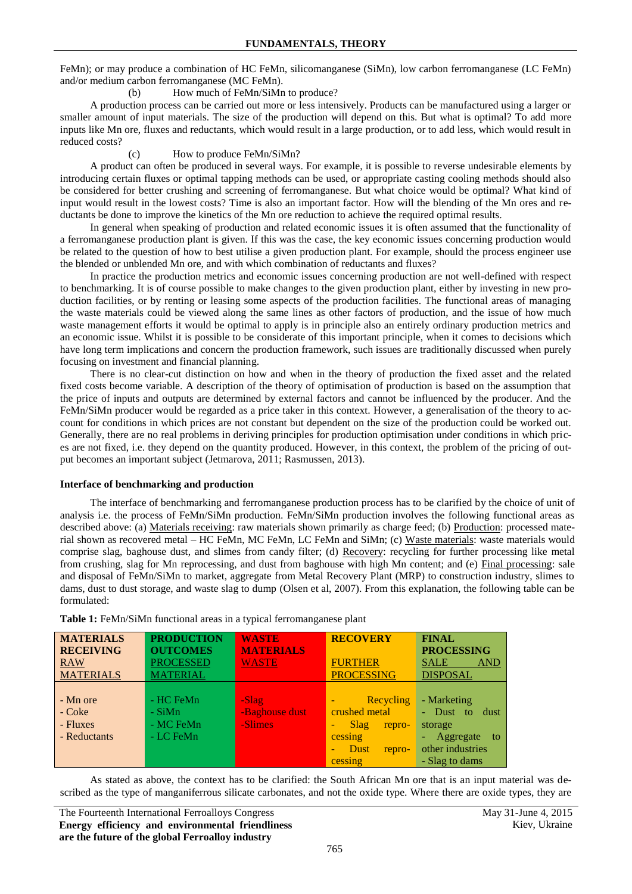FeMn); or may produce a combination of HC FeMn, silicomanganese (SiMn), low carbon ferromanganese (LC FeMn) and/or medium carbon ferromanganese (MC FeMn).

#### (b) How much of FeMn/SiMn to produce?

A production process can be carried out more or less intensively. Products can be manufactured using a larger or smaller amount of input materials. The size of the production will depend on this. But what is optimal? To add more inputs like Mn ore, fluxes and reductants, which would result in a large production, or to add less, which would result in reduced costs?

### (c) How to produce FeMn/SiMn?

A product can often be produced in several ways. For example, it is possible to reverse undesirable elements by introducing certain fluxes or optimal tapping methods can be used, or appropriate casting cooling methods should also be considered for better crushing and screening of ferromanganese. But what choice would be optimal? What kind of input would result in the lowest costs? Time is also an important factor. How will the blending of the Mn ores and reductants be done to improve the kinetics of the Mn ore reduction to achieve the required optimal results.

In general when speaking of production and related economic issues it is often assumed that the functionality of a ferromanganese production plant is given. If this was the case, the key economic issues concerning production would be related to the question of how to best utilise a given production plant. For example, should the process engineer use the blended or unblended Mn ore, and with which combination of reductants and fluxes?

In practice the production metrics and economic issues concerning production are not well-defined with respect to benchmarking. It is of course possible to make changes to the given production plant, either by investing in new production facilities, or by renting or leasing some aspects of the production facilities. The functional areas of managing the waste materials could be viewed along the same lines as other factors of production, and the issue of how much waste management efforts it would be optimal to apply is in principle also an entirely ordinary production metrics and an economic issue. Whilst it is possible to be considerate of this important principle, when it comes to decisions which have long term implications and concern the production framework, such issues are traditionally discussed when purely focusing on investment and financial planning.

There is no clear-cut distinction on how and when in the theory of production the fixed asset and the related fixed costs become variable. A description of the theory of optimisation of production is based on the assumption that the price of inputs and outputs are determined by external factors and cannot be influenced by the producer. And the FeMn/SiMn producer would be regarded as a price taker in this context. However, a generalisation of the theory to account for conditions in which prices are not constant but dependent on the size of the production could be worked out. Generally, there are no real problems in deriving principles for production optimisation under conditions in which prices are not fixed, i.e. they depend on the quantity produced. However, in this context, the problem of the pricing of output becomes an important subject (Jetmarova, 2011; Rasmussen, 2013).

#### **Interface of benchmarking and production**

The interface of benchmarking and ferromanganese production process has to be clarified by the choice of unit of analysis i.e. the process of FeMn/SiMn production. FeMn/SiMn production involves the following functional areas as described above: (a) Materials receiving: raw materials shown primarily as charge feed; (b) Production: processed material shown as recovered metal – HC FeMn, MC FeMn, LC FeMn and SiMn; (c) Waste materials: waste materials would comprise slag, baghouse dust, and slimes from candy filter; (d) Recovery: recycling for further processing like metal from crushing, slag for Mn reprocessing, and dust from baghouse with high Mn content; and (e) Final processing: sale and disposal of FeMn/SiMn to market, aggregate from Metal Recovery Plant (MRP) to construction industry, slimes to dams, dust to dust storage, and waste slag to dump (Olsen et al, 2007). From this explanation, the following table can be formulated:

| <b>MATERIALS</b><br><b>RECEIVING</b><br><b>RAW</b><br><b>MATERIALS</b> | <b>PRODUCTION</b><br><b>OUTCOMES</b><br><b>PROCESSED</b><br><b>MATERIAL</b> | <b>WASTE</b><br><b>MATERIALS</b><br><b>WASTE</b> | <b>RECOVERY</b><br><b>FURTHER</b><br><b>PROCESSING</b>                                      | <b>FINAL</b><br><b>PROCESSING</b><br><b>SALE</b><br><b>AND</b><br><b>DISPOSAL</b>                         |
|------------------------------------------------------------------------|-----------------------------------------------------------------------------|--------------------------------------------------|---------------------------------------------------------------------------------------------|-----------------------------------------------------------------------------------------------------------|
| - Mn ore<br>- Coke<br>- Fluxes<br>- Reductants                         | - HC FeMn<br>- SiMn<br>- MC FeMn<br>- LC FeMn                               | $-Slag$<br>-Baghouse dust<br>-Slimes             | Recycling<br>crushed metal<br><b>Slag</b><br>repro-<br>cessing<br>Dust<br>repro-<br>cessing | - Marketing<br>- Dust<br>dust<br>to<br>storage<br>- Aggregate<br>to<br>other industries<br>- Slag to dams |

**Table 1:** FeMn/SiMn functional areas in a typical ferromanganese plant

As stated as above, the context has to be clarified: the South African Mn ore that is an input material was described as the type of manganiferrous silicate carbonates, and not the oxide type. Where there are oxide types, they are

| The Fourteenth International Ferroalloys Congress |  |  |                                                  |  |
|---------------------------------------------------|--|--|--------------------------------------------------|--|
|                                                   |  |  | Energy efficiency and environmental friendliness |  |
| are the future of the global Ferroalloy industry  |  |  |                                                  |  |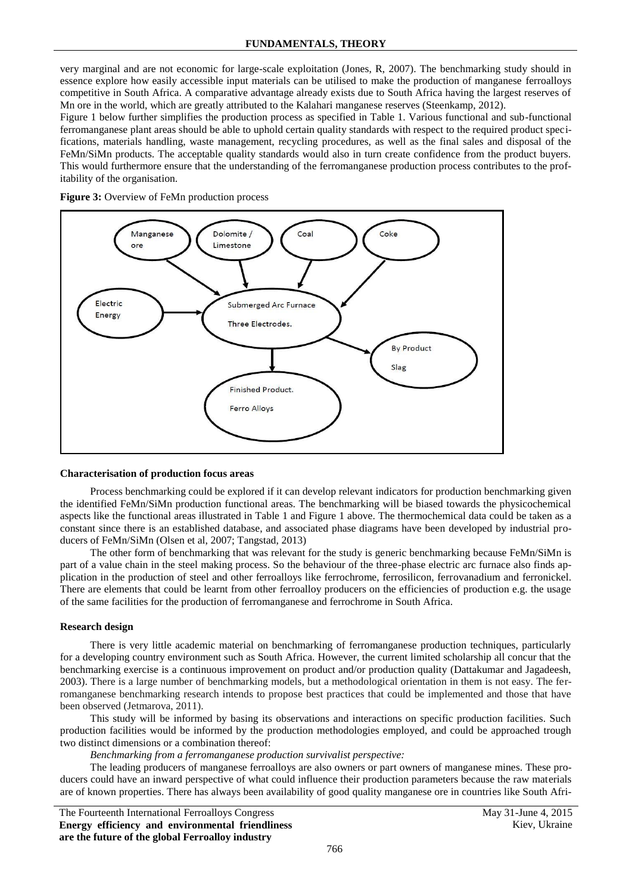very marginal and are not economic for large-scale exploitation (Jones, R, 2007). The benchmarking study should in essence explore how easily accessible input materials can be utilised to make the production of manganese ferroalloys competitive in South Africa. A comparative advantage already exists due to South Africa having the largest reserves of Mn ore in the world, which are greatly attributed to the Kalahari manganese reserves (Steenkamp, 2012).

Figure 1 below further simplifies the production process as specified in Table 1. Various functional and sub-functional ferromanganese plant areas should be able to uphold certain quality standards with respect to the required product specifications, materials handling, waste management, recycling procedures, as well as the final sales and disposal of the FeMn/SiMn products. The acceptable quality standards would also in turn create confidence from the product buyers. This would furthermore ensure that the understanding of the ferromanganese production process contributes to the profitability of the organisation.





#### **Characterisation of production focus areas**

Process benchmarking could be explored if it can develop relevant indicators for production benchmarking given the identified FeMn/SiMn production functional areas. The benchmarking will be biased towards the physicochemical aspects like the functional areas illustrated in Table 1 and Figure 1 above. The thermochemical data could be taken as a constant since there is an established database, and associated phase diagrams have been developed by industrial producers of FeMn/SiMn (Olsen et al, 2007; Tangstad, 2013)

The other form of benchmarking that was relevant for the study is generic benchmarking because FeMn/SiMn is part of a value chain in the steel making process. So the behaviour of the three-phase electric arc furnace also finds application in the production of steel and other ferroalloys like ferrochrome, ferrosilicon, ferrovanadium and ferronickel. There are elements that could be learnt from other ferroalloy producers on the efficiencies of production e.g. the usage of the same facilities for the production of ferromanganese and ferrochrome in South Africa.

#### **Research design**

There is very little academic material on benchmarking of ferromanganese production techniques, particularly for a developing country environment such as South Africa. However, the current limited scholarship all concur that the benchmarking exercise is a continuous improvement on product and/or production quality (Dattakumar and Jagadeesh, 2003). There is a large number of benchmarking models, but a methodological orientation in them is not easy. The ferromanganese benchmarking research intends to propose best practices that could be implemented and those that have been observed (Jetmarova, 2011).

This study will be informed by basing its observations and interactions on specific production facilities. Such production facilities would be informed by the production methodologies employed, and could be approached trough two distinct dimensions or a combination thereof:

*Benchmarking from a ferromanganese production survivalist perspective:*

The leading producers of manganese ferroalloys are also owners or part owners of manganese mines. These producers could have an inward perspective of what could influence their production parameters because the raw materials are of known properties. There has always been availability of good quality manganese ore in countries like South Afri-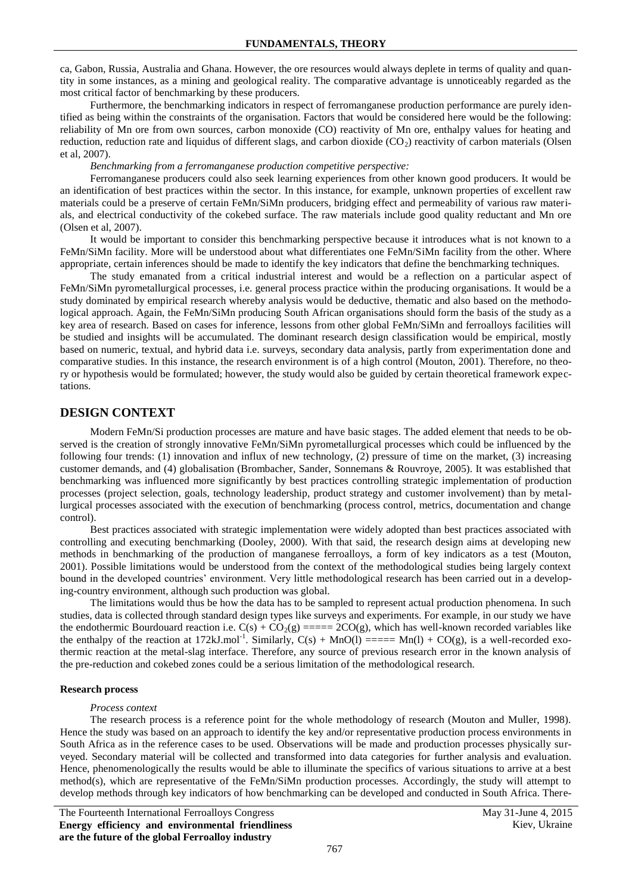ca, Gabon, Russia, Australia and Ghana. However, the ore resources would always deplete in terms of quality and quantity in some instances, as a mining and geological reality. The comparative advantage is unnoticeably regarded as the most critical factor of benchmarking by these producers.

Furthermore, the benchmarking indicators in respect of ferromanganese production performance are purely identified as being within the constraints of the organisation. Factors that would be considered here would be the following: reliability of Mn ore from own sources, carbon monoxide (CO) reactivity of Mn ore, enthalpy values for heating and reduction, reduction rate and liquidus of different slags, and carbon dioxide  $(CO<sub>2</sub>)$  reactivity of carbon materials (Olsen et al, 2007).

*Benchmarking from a ferromanganese production competitive perspective:*

Ferromanganese producers could also seek learning experiences from other known good producers. It would be an identification of best practices within the sector. In this instance, for example, unknown properties of excellent raw materials could be a preserve of certain FeMn/SiMn producers, bridging effect and permeability of various raw materials, and electrical conductivity of the cokebed surface. The raw materials include good quality reductant and Mn ore (Olsen et al, 2007).

It would be important to consider this benchmarking perspective because it introduces what is not known to a FeMn/SiMn facility. More will be understood about what differentiates one FeMn/SiMn facility from the other. Where appropriate, certain inferences should be made to identify the key indicators that define the benchmarking techniques.

The study emanated from a critical industrial interest and would be a reflection on a particular aspect of FeMn/SiMn pyrometallurgical processes, i.e. general process practice within the producing organisations. It would be a study dominated by empirical research whereby analysis would be deductive, thematic and also based on the methodological approach. Again, the FeMn/SiMn producing South African organisations should form the basis of the study as a key area of research. Based on cases for inference, lessons from other global FeMn/SiMn and ferroalloys facilities will be studied and insights will be accumulated. The dominant research design classification would be empirical, mostly based on numeric, textual, and hybrid data i.e. surveys, secondary data analysis, partly from experimentation done and comparative studies. In this instance, the research environment is of a high control (Mouton, 2001). Therefore, no theory or hypothesis would be formulated; however, the study would also be guided by certain theoretical framework expectations.

## **DESIGN CONTEXT**

Modern FeMn/Si production processes are mature and have basic stages. The added element that needs to be observed is the creation of strongly innovative FeMn/SiMn pyrometallurgical processes which could be influenced by the following four trends: (1) innovation and influx of new technology, (2) pressure of time on the market, (3) increasing customer demands, and (4) globalisation (Brombacher, Sander, Sonnemans & Rouvroye, 2005). It was established that benchmarking was influenced more significantly by best practices controlling strategic implementation of production processes (project selection, goals, technology leadership, product strategy and customer involvement) than by metallurgical processes associated with the execution of benchmarking (process control, metrics, documentation and change control).

Best practices associated with strategic implementation were widely adopted than best practices associated with controlling and executing benchmarking (Dooley, 2000). With that said, the research design aims at developing new methods in benchmarking of the production of manganese ferroalloys, a form of key indicators as a test (Mouton, 2001). Possible limitations would be understood from the context of the methodological studies being largely context bound in the developed countries' environment. Very little methodological research has been carried out in a developing-country environment, although such production was global.

The limitations would thus be how the data has to be sampled to represent actual production phenomena. In such studies, data is collected through standard design types like surveys and experiments. For example, in our study we have the endothermic Bourdouard reaction i.e.  $C(s) + CO_2(g) = 2CO(g)$ , which has well-known recorded variables like the enthalpy of the reaction at 172kJ.mol<sup>-1</sup>. Similarly,  $C(s) + MnO(1) = == = Mn(1) + CO(g)$ , is a well-recorded exothermic reaction at the metal-slag interface. Therefore, any source of previous research error in the known analysis of the pre-reduction and cokebed zones could be a serious limitation of the methodological research.

#### **Research process**

#### *Process context*

The research process is a reference point for the whole methodology of research (Mouton and Muller, 1998). Hence the study was based on an approach to identify the key and/or representative production process environments in South Africa as in the reference cases to be used. Observations will be made and production processes physically surveyed. Secondary material will be collected and transformed into data categories for further analysis and evaluation. Hence, phenomenologically the results would be able to illuminate the specifics of various situations to arrive at a best method(s), which are representative of the FeMn/SiMn production processes. Accordingly, the study will attempt to develop methods through key indicators of how benchmarking can be developed and conducted in South Africa. There-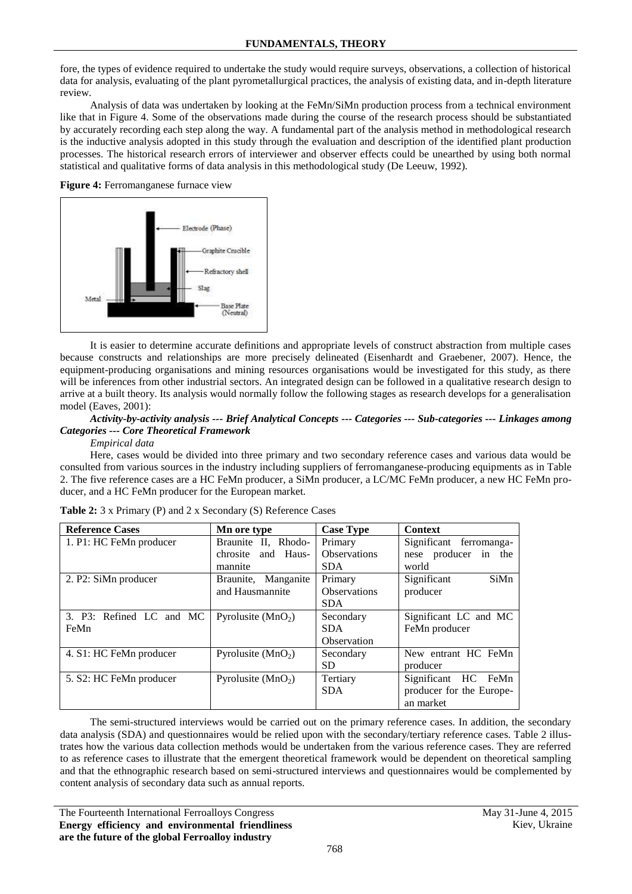fore, the types of evidence required to undertake the study would require surveys, observations, a collection of historical data for analysis, evaluating of the plant pyrometallurgical practices, the analysis of existing data, and in-depth literature review.

Analysis of data was undertaken by looking at the FeMn/SiMn production process from a technical environment like that in Figure 4. Some of the observations made during the course of the research process should be substantiated by accurately recording each step along the way. A fundamental part of the analysis method in methodological research is the inductive analysis adopted in this study through the evaluation and description of the identified plant production processes. The historical research errors of interviewer and observer effects could be unearthed by using both normal statistical and qualitative forms of data analysis in this methodological study (De Leeuw, 1992).

**Figure 4:** Ferromanganese furnace view



It is easier to determine accurate definitions and appropriate levels of construct abstraction from multiple cases because constructs and relationships are more precisely delineated (Eisenhardt and Graebener, 2007). Hence, the equipment-producing organisations and mining resources organisations would be investigated for this study, as there will be inferences from other industrial sectors. An integrated design can be followed in a qualitative research design to arrive at a built theory. Its analysis would normally follow the following stages as research develops for a generalisation model (Eaves, 2001):

#### *Activity-by-activity analysis --- Brief Analytical Concepts --- Categories --- Sub-categories --- Linkages among Categories --- Core Theoretical Framework*

#### *Empirical data*

Here, cases would be divided into three primary and two secondary reference cases and various data would be consulted from various sources in the industry including suppliers of ferromanganese-producing equipments as in Table 2. The five reference cases are a HC FeMn producer, a SiMn producer, a LC/MC FeMn producer, a new HC FeMn producer, and a HC FeMn producer for the European market.

| <b>Reference Cases</b>   | Mn ore type         | <b>Case Type</b>    | <b>Context</b>             |
|--------------------------|---------------------|---------------------|----------------------------|
| 1. P1: HC FeMn producer  | Braunite II, Rhodo- | Primary             | Significant ferromanga-    |
|                          | chrosite and Haus-  | <b>Observations</b> | nese producer in the       |
|                          | mannite             | <b>SDA</b>          | world                      |
| 2. P2: SiMn producer     | Braunite, Manganite | Primary             | Significant<br><b>SiMn</b> |
|                          | and Hausmannite     | <b>Observations</b> | producer                   |
|                          |                     | <b>SDA</b>          |                            |
| 3. P3: Refined LC and MC | Pyrolusite $(MnO2)$ | Secondary           | Significant LC and MC      |
| FeMn                     |                     | <b>SDA</b>          | FeMn producer              |
|                          |                     | Observation         |                            |
| 4. S1: HC FeMn producer  | Pyrolusite $(MnO2)$ | Secondary           | New entrant HC FeMn        |
|                          |                     | <b>SD</b>           | producer                   |
| 5. S2: HC FeMn producer  | Pyrolusite $(MnO2)$ | Tertiary            | Significant HC FeMn        |
|                          |                     | <b>SDA</b>          | producer for the Europe-   |
|                          |                     |                     | an market                  |

**Table 2:** 3 x Primary (P) and 2 x Secondary (S) Reference Cases

The semi-structured interviews would be carried out on the primary reference cases. In addition, the secondary data analysis (SDA) and questionnaires would be relied upon with the secondary/tertiary reference cases. Table 2 illustrates how the various data collection methods would be undertaken from the various reference cases. They are referred to as reference cases to illustrate that the emergent theoretical framework would be dependent on theoretical sampling and that the ethnographic research based on semi-structured interviews and questionnaires would be complemented by content analysis of secondary data such as annual reports.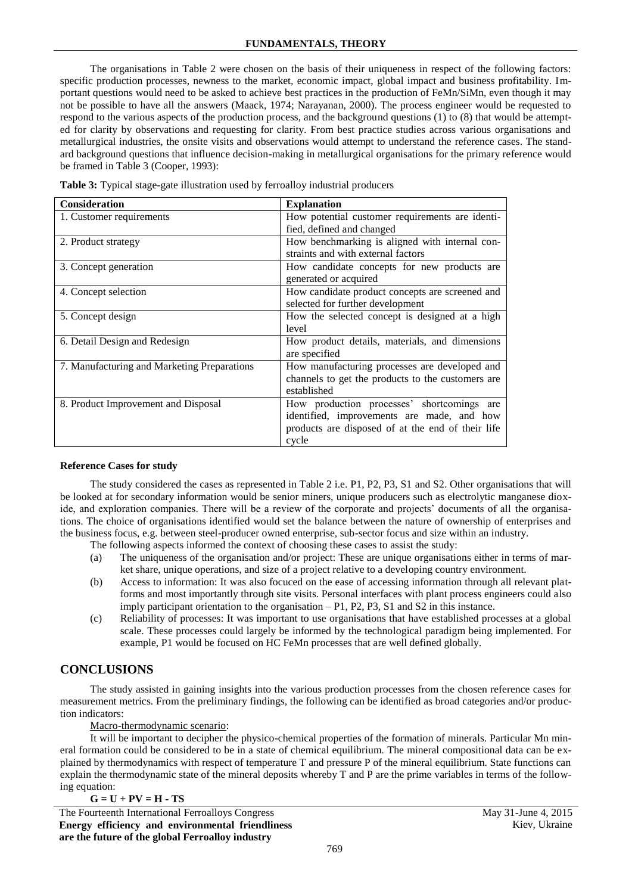The organisations in Table 2 were chosen on the basis of their uniqueness in respect of the following factors: specific production processes, newness to the market, economic impact, global impact and business profitability. Important questions would need to be asked to achieve best practices in the production of FeMn/SiMn, even though it may not be possible to have all the answers (Maack, 1974; Narayanan, 2000). The process engineer would be requested to respond to the various aspects of the production process, and the background questions (1) to (8) that would be attempted for clarity by observations and requesting for clarity. From best practice studies across various organisations and metallurgical industries, the onsite visits and observations would attempt to understand the reference cases. The standard background questions that influence decision-making in metallurgical organisations for the primary reference would be framed in Table 3 (Cooper, 1993):

| <b>Consideration</b>                        | <b>Explanation</b>                                |
|---------------------------------------------|---------------------------------------------------|
| 1. Customer requirements                    | How potential customer requirements are identi-   |
|                                             | fied, defined and changed                         |
| 2. Product strategy                         | How benchmarking is aligned with internal con-    |
|                                             | straints and with external factors                |
| 3. Concept generation                       | How candidate concepts for new products are       |
|                                             | generated or acquired                             |
| 4. Concept selection                        | How candidate product concepts are screened and   |
|                                             | selected for further development                  |
| 5. Concept design                           | How the selected concept is designed at a high    |
|                                             | level                                             |
| 6. Detail Design and Redesign               | How product details, materials, and dimensions    |
|                                             | are specified                                     |
| 7. Manufacturing and Marketing Preparations | How manufacturing processes are developed and     |
|                                             | channels to get the products to the customers are |
|                                             | established                                       |
| 8. Product Improvement and Disposal         | How production processes' shortcomings are        |
|                                             | identified, improvements are made, and how        |
|                                             | products are disposed of at the end of their life |
|                                             | cycle                                             |

**Table 3:** Typical stage-gate illustration used by ferroalloy industrial producers

#### **Reference Cases for study**

The study considered the cases as represented in Table 2 i.e. P1, P2, P3, S1 and S2. Other organisations that will be looked at for secondary information would be senior miners, unique producers such as electrolytic manganese dioxide, and exploration companies. There will be a review of the corporate and projects' documents of all the organisations. The choice of organisations identified would set the balance between the nature of ownership of enterprises and the business focus, e.g. between steel-producer owned enterprise, sub-sector focus and size within an industry.

The following aspects informed the context of choosing these cases to assist the study:

- (a) The uniqueness of the organisation and/or project: These are unique organisations either in terms of market share, unique operations, and size of a project relative to a developing country environment.
- (b) Access to information: It was also focuced on the ease of accessing information through all relevant platforms and most importantly through site visits. Personal interfaces with plant process engineers could also imply participant orientation to the organisation – P1, P2, P3, S1 and S2 in this instance.
- (c) Reliability of processes: It was important to use organisations that have established processes at a global scale. These processes could largely be informed by the technological paradigm being implemented. For example, P1 would be focused on HC FeMn processes that are well defined globally.

## **CONCLUSIONS**

The study assisted in gaining insights into the various production processes from the chosen reference cases for measurement metrics. From the preliminary findings, the following can be identified as broad categories and/or production indicators:

Macro-thermodynamic scenario:

It will be important to decipher the physico-chemical properties of the formation of minerals. Particular Mn mineral formation could be considered to be in a state of chemical equilibrium. The mineral compositional data can be explained by thermodynamics with respect of temperature T and pressure P of the mineral equilibrium. State functions can explain the thermodynamic state of the mineral deposits whereby T and P are the prime variables in terms of the following equation:

 $G = U + PV = H - TS$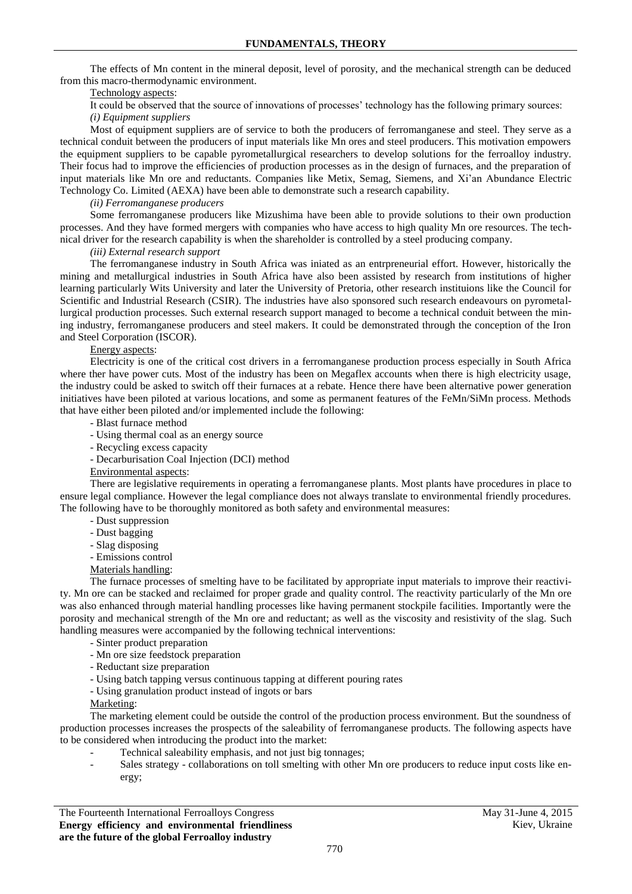The effects of Mn content in the mineral deposit, level of porosity, and the mechanical strength can be deduced from this macro-thermodynamic environment.

#### Technology aspects:

It could be observed that the source of innovations of processes' technology has the following primary sources: *(i) Equipment suppliers*

Most of equipment suppliers are of service to both the producers of ferromanganese and steel. They serve as a technical conduit between the producers of input materials like Mn ores and steel producers. This motivation empowers the equipment suppliers to be capable pyrometallurgical researchers to develop solutions for the ferroalloy industry. Their focus had to improve the efficiencies of production processes as in the design of furnaces, and the preparation of input materials like Mn ore and reductants. Companies like Metix, Semag, Siemens, and Xi'an Abundance Electric Technology Co. Limited (AEXA) have been able to demonstrate such a research capability.

#### *(ii) Ferromanganese producers*

Some ferromanganese producers like Mizushima have been able to provide solutions to their own production processes. And they have formed mergers with companies who have access to high quality Mn ore resources. The technical driver for the research capability is when the shareholder is controlled by a steel producing company.

#### *(iii) External research support*

The ferromanganese industry in South Africa was iniated as an entrpreneurial effort. However, historically the mining and metallurgical industries in South Africa have also been assisted by research from institutions of higher learning particularly Wits University and later the University of Pretoria, other research instituions like the Council for Scientific and Industrial Research (CSIR). The industries have also sponsored such research endeavours on pyrometallurgical production processes. Such external research support managed to become a technical conduit between the mining industry, ferromanganese producers and steel makers. It could be demonstrated through the conception of the Iron and Steel Corporation (ISCOR).

#### Energy aspects:

Electricity is one of the critical cost drivers in a ferromanganese production process especially in South Africa where ther have power cuts. Most of the industry has been on Megaflex accounts when there is high electricity usage, the industry could be asked to switch off their furnaces at a rebate. Hence there have been alternative power generation initiatives have been piloted at various locations, and some as permanent features of the FeMn/SiMn process. Methods that have either been piloted and/or implemented include the following:

- Blast furnace method
- Using thermal coal as an energy source
- Recycling excess capacity
- Decarburisation Coal Injection (DCI) method
- Environmental aspects:

There are legislative requirements in operating a ferromanganese plants. Most plants have procedures in place to ensure legal compliance. However the legal compliance does not always translate to environmental friendly procedures. The following have to be thoroughly monitored as both safety and environmental measures:

- Dust suppression
- Dust bagging
- Slag disposing
- Emissions control
- Materials handling:

The furnace processes of smelting have to be facilitated by appropriate input materials to improve their reactivity. Mn ore can be stacked and reclaimed for proper grade and quality control. The reactivity particularly of the Mn ore was also enhanced through material handling processes like having permanent stockpile facilities. Importantly were the porosity and mechanical strength of the Mn ore and reductant; as well as the viscosity and resistivity of the slag. Such handling measures were accompanied by the following technical interventions:

- Sinter product preparation
- Mn ore size feedstock preparation
- Reductant size preparation
- Using batch tapping versus continuous tapping at different pouring rates
- Using granulation product instead of ingots or bars
- Marketing:

The marketing element could be outside the control of the production process environment. But the soundness of production processes increases the prospects of the saleability of ferromanganese products. The following aspects have to be considered when introducing the product into the market:

- Technical saleability emphasis, and not just big tonnages;
- Sales strategy collaborations on toll smelting with other Mn ore producers to reduce input costs like energy;